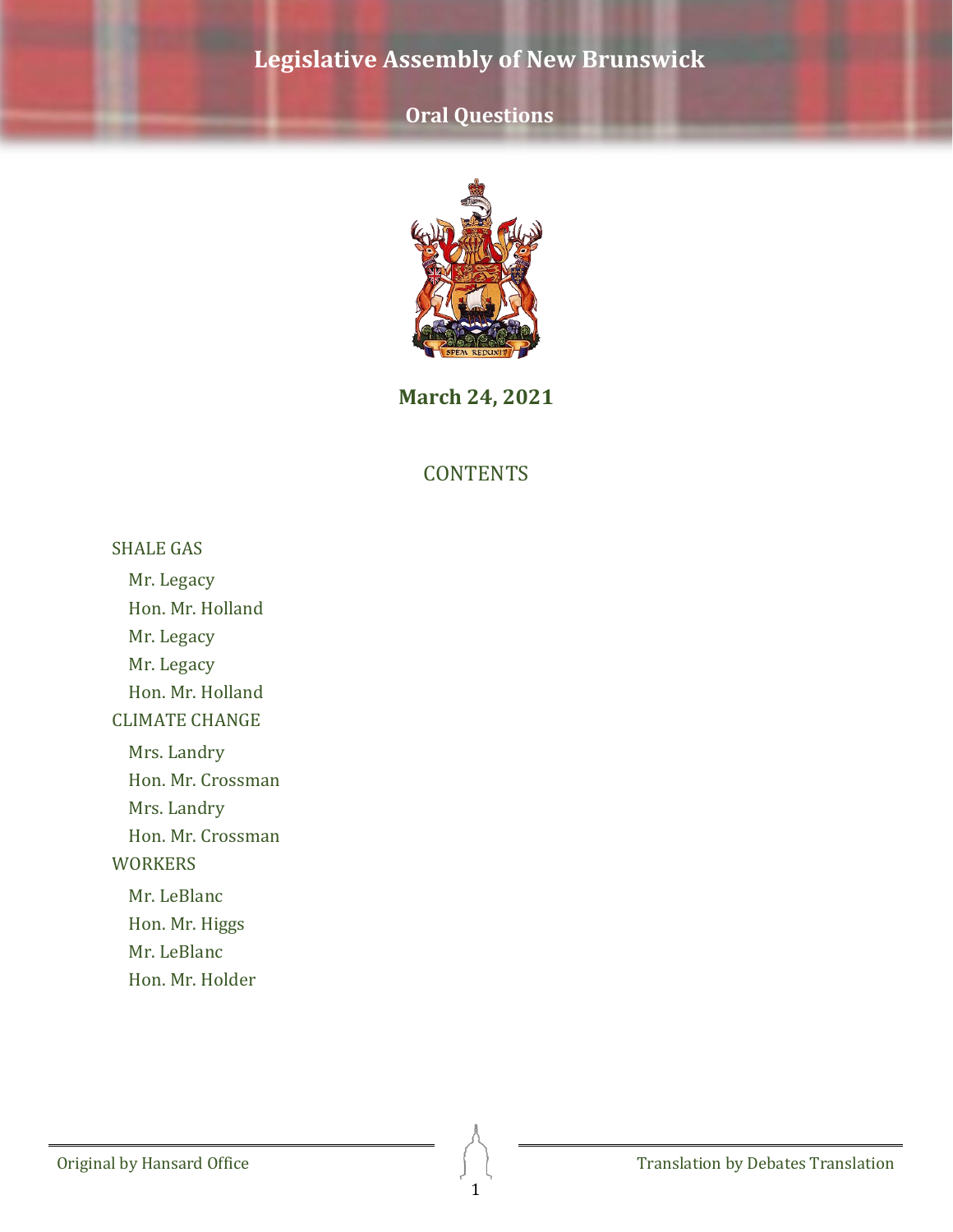# **Oral Questions**



**March 24, 2021**

### **CONTENTS**

[SHALE GAS](#page-2-0)

[Mr. Legacy](#page-2-1)

[Hon. Mr. Holland](#page-2-2)

[Mr. Legacy](#page-2-3)

[Mr. Legacy](#page-2-4)

[Hon. Mr. Holland](#page-3-0)

[CLIMATE CHANGE](#page-3-1)

[Mrs. Landry](#page-3-2)

[Hon. Mr. Crossman](#page-3-3)

[Mrs. Landry](#page-3-4)

[Hon. Mr. Crossman](#page-4-0)

**[WORKERS](#page-4-1)** 

[Mr. LeBlanc](#page-4-2)

[Hon. Mr. Higgs](#page-4-3)

[Mr. LeBlanc](#page-5-0)

[Hon. Mr. Holder](#page-5-1)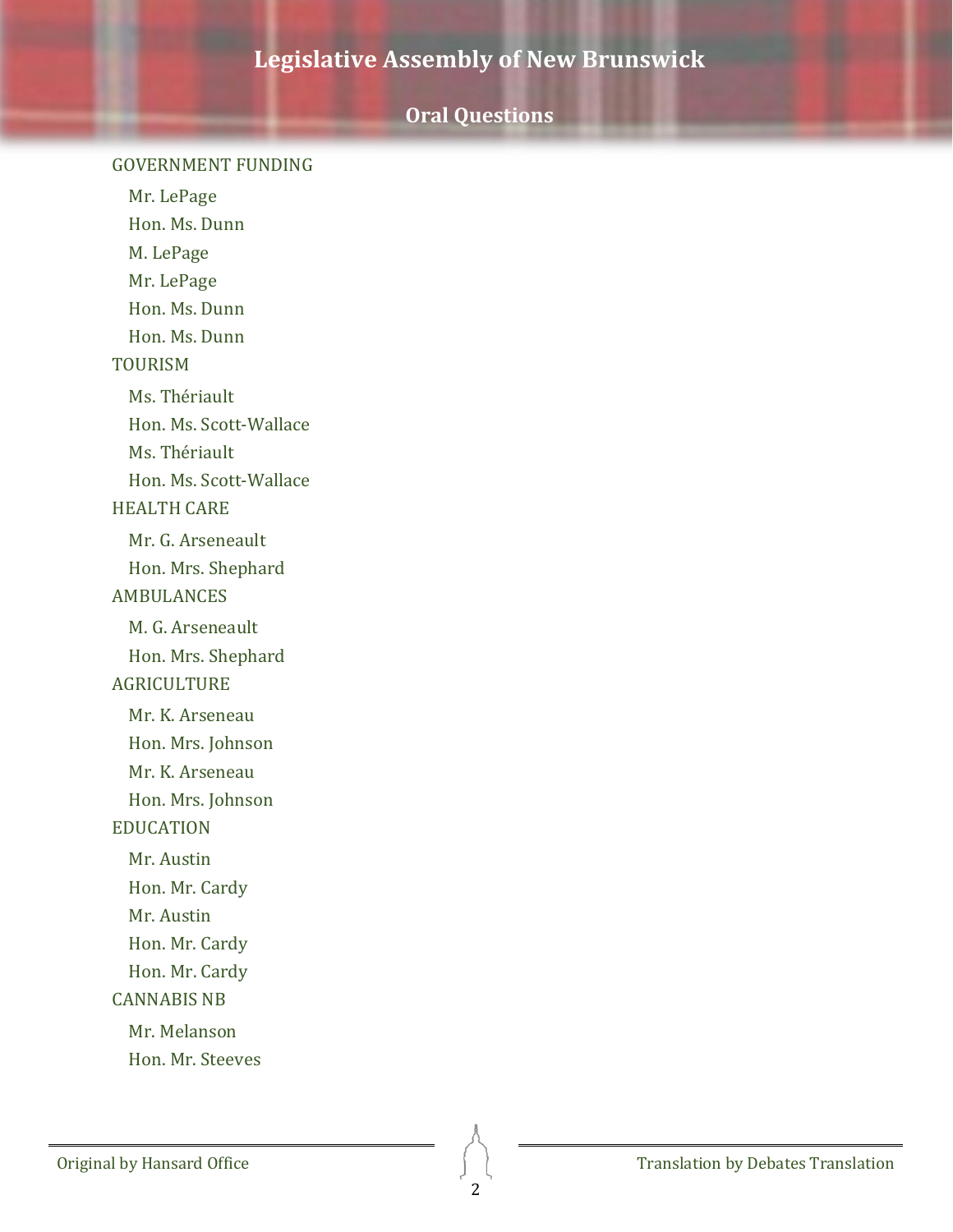### **Oral Questions**

#### [GOVERNMENT FUNDING](#page-5-2)

Mr. [LePage](#page-5-3) [Hon. Ms. Dunn](#page-6-0) M. [LePage](#page-6-1) Mr. [LePage](#page-6-2) [Hon. Ms. Dunn](#page-7-0) [Hon. Ms. Dunn](#page-7-1) [TOURISM](#page-7-2) [Ms. Thériault](#page-7-3) [Hon. Ms. Scott-Wallace](#page-8-0) [Ms. Thériault](#page-8-1) [Hon. Ms. Scott-Wallace](#page-8-2) [HEALTH CARE](#page-9-0) [Mr. G. Arseneault](#page-9-1) [Hon. Mrs. Shephard](#page-9-2) [AMBULANCES](#page-9-3) [M. G. Arseneault](#page-9-4) [Hon. Mrs. Shephard](#page-10-0) [AGRICULTURE](#page-10-1) Mr. K. [Arseneau](#page-10-2) [Hon. Mrs. Johnson](#page-11-0) [Mr. K. Arseneau](#page-11-1) [Hon. Mrs. Johnson](#page-11-2) [EDUCATION](#page-12-0) [Mr. Austin](#page-12-1) [Hon. Mr. Cardy](#page-12-2) [Mr. Austin](#page-12-3) [Hon. Mr. Cardy](#page-13-0) Hon. [Mr. Cardy](#page-13-1) [CANNABIS NB](#page-13-2) [Mr. Melanson](#page-13-3) [Hon. Mr. Steeves](#page-14-0)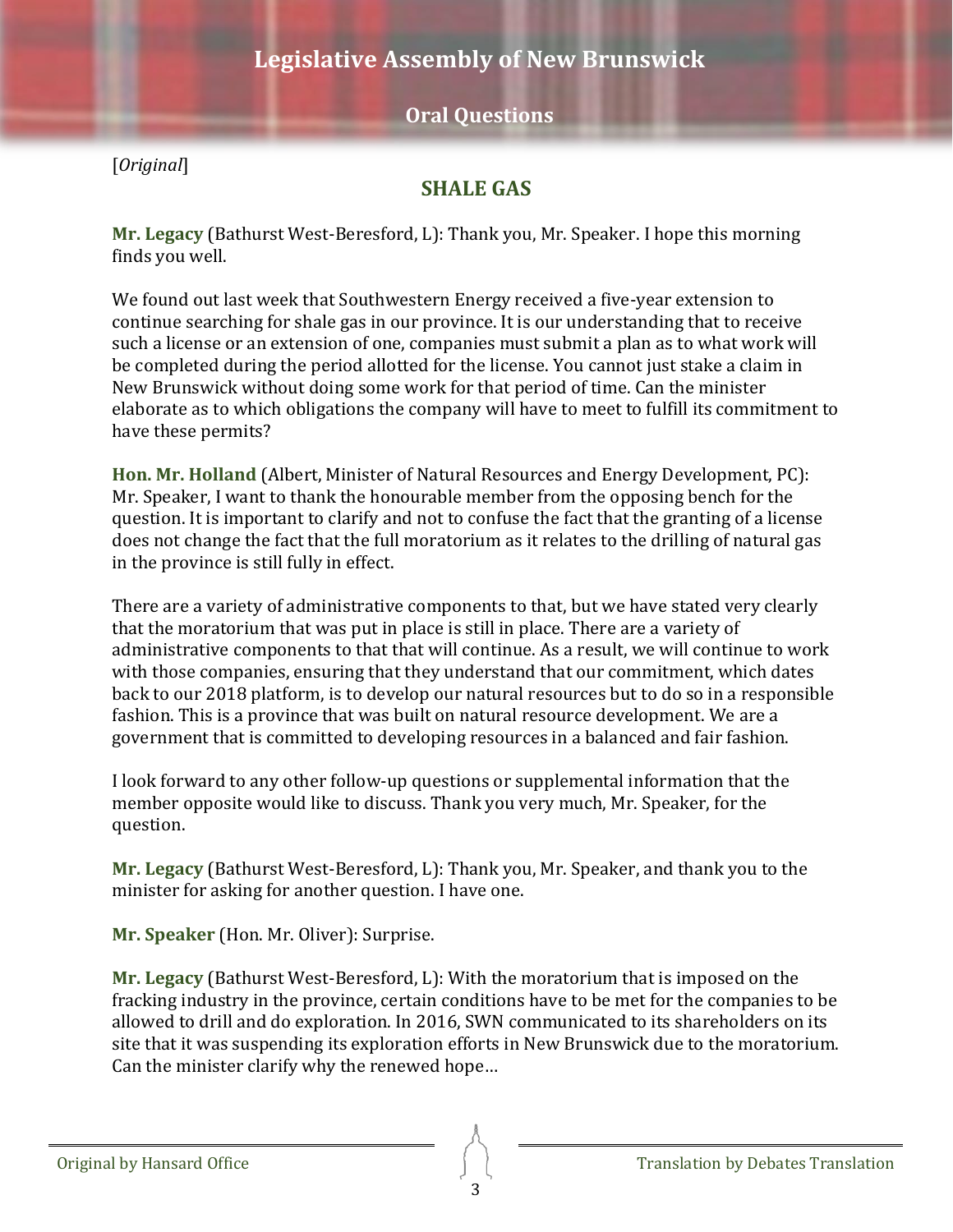### **Oral Questions**

<span id="page-2-0"></span>[*Original*]

### **SHALE GAS**

<span id="page-2-1"></span>**Mr. Legacy** (Bathurst West-Beresford, L): Thank you, Mr. Speaker. I hope this morning finds you well.

We found out last week that Southwestern Energy received a five-year extension to continue searching for shale gas in our province. It is our understanding that to receive such a license or an extension of one, companies must submit a plan as to what work will be completed during the period allotted for the license. You cannot just stake a claim in New Brunswick without doing some work for that period of time. Can the minister elaborate as to which obligations the company will have to meet to fulfill its commitment to have these permits?

<span id="page-2-2"></span>**Hon. Mr. Holland** (Albert, Minister of Natural Resources and Energy Development, PC): Mr. Speaker, I want to thank the honourable member from the opposing bench for the question. It is important to clarify and not to confuse the fact that the granting of a license does not change the fact that the full moratorium as it relates to the drilling of natural gas in the province is still fully in effect.

There are a variety of administrative components to that, but we have stated very clearly that the moratorium that was put in place is still in place. There are a variety of administrative components to that that will continue. As a result, we will continue to work with those companies, ensuring that they understand that our commitment, which dates back to our 2018 platform, is to develop our natural resources but to do so in a responsible fashion. This is a province that was built on natural resource development. We are a government that is committed to developing resources in a balanced and fair fashion.

I look forward to any other follow-up questions or supplemental information that the member opposite would like to discuss. Thank you very much, Mr. Speaker, for the question.

<span id="page-2-3"></span>**Mr. Legacy** (Bathurst West-Beresford, L): Thank you, Mr. Speaker, and thank you to the minister for asking for another question. I have one.

**Mr. Speaker** (Hon. Mr. Oliver): Surprise.

<span id="page-2-4"></span>**Mr. Legacy** (Bathurst West-Beresford, L): With the moratorium that is imposed on the fracking industry in the province, certain conditions have to be met for the companies to be allowed to drill and do exploration. In 2016, SWN communicated to its shareholders on its site that it was suspending its exploration efforts in New Brunswick due to the moratorium. Can the minister clarify why the renewed hope…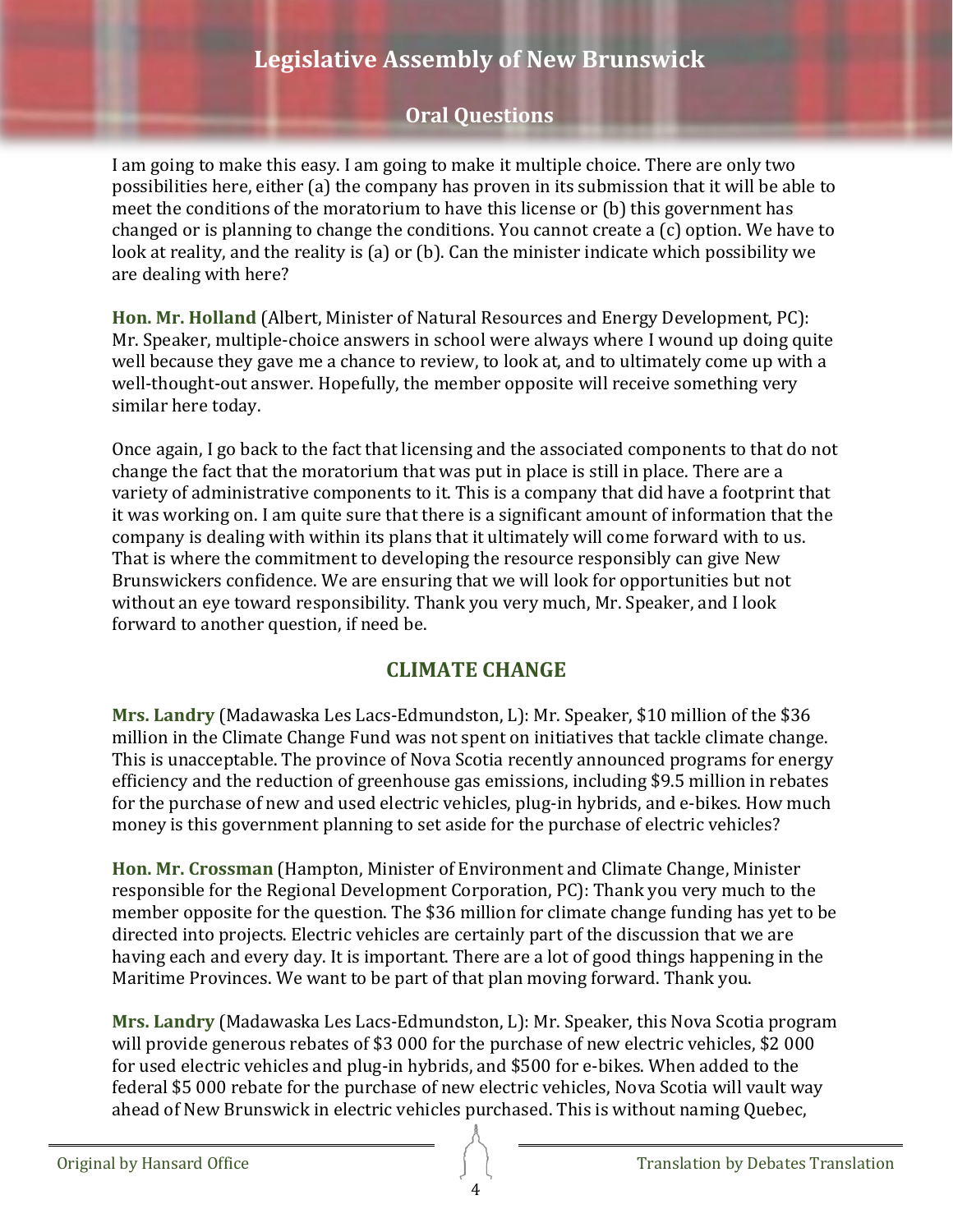# **Oral Questions**

I am going to make this easy. I am going to make it multiple choice. There are only two possibilities here, either (a) the company has proven in its submission that it will be able to meet the conditions of the moratorium to have this license or (b) this government has changed or is planning to change the conditions. You cannot create a (c) option. We have to look at reality, and the reality is (a) or (b). Can the minister indicate which possibility we are dealing with here?

<span id="page-3-0"></span>**Hon. Mr. Holland** (Albert, Minister of Natural Resources and Energy Development, PC): Mr. Speaker, multiple-choice answers in school were always where I wound up doing quite well because they gave me a chance to review, to look at, and to ultimately come up with a well-thought-out answer. Hopefully, the member opposite will receive something very similar here today.

Once again, I go back to the fact that licensing and the associated components to that do not change the fact that the moratorium that was put in place is still in place. There are a variety of administrative components to it. This is a company that did have a footprint that it was working on. I am quite sure that there is a significant amount of information that the company is dealing with within its plans that it ultimately will come forward with to us. That is where the commitment to developing the resource responsibly can give New Brunswickers confidence. We are ensuring that we will look for opportunities but not without an eye toward responsibility. Thank you very much, Mr. Speaker, and I look forward to another question, if need be.

## **CLIMATE CHANGE**

<span id="page-3-2"></span><span id="page-3-1"></span>**Mrs. Landry** (Madawaska Les Lacs-Edmundston, L): Mr. Speaker, \$10 million of the \$36 million in the Climate Change Fund was not spent on initiatives that tackle climate change. This is unacceptable. The province of Nova Scotia recently announced programs for energy efficiency and the reduction of greenhouse gas emissions, including \$9.5 million in rebates for the purchase of new and used electric vehicles, plug-in hybrids, and e-bikes. How much money is this government planning to set aside for the purchase of electric vehicles?

<span id="page-3-3"></span>**Hon. Mr. Crossman** (Hampton, Minister of Environment and Climate Change, Minister responsible for the Regional Development Corporation, PC): Thank you very much to the member opposite for the question. The \$36 million for climate change funding has yet to be directed into projects. Electric vehicles are certainly part of the discussion that we are having each and every day. It is important. There are a lot of good things happening in the Maritime Provinces. We want to be part of that plan moving forward. Thank you.

<span id="page-3-4"></span>**Mrs. Landry** (Madawaska Les Lacs-Edmundston, L): Mr. Speaker, this Nova Scotia program will provide generous rebates of \$3 000 for the purchase of new electric vehicles, \$2 000 for used electric vehicles and plug-in hybrids, and \$500 for e-bikes. When added to the federal \$5 000 rebate for the purchase of new electric vehicles, Nova Scotia will vault way ahead of New Brunswick in electric vehicles purchased. This is without naming Quebec,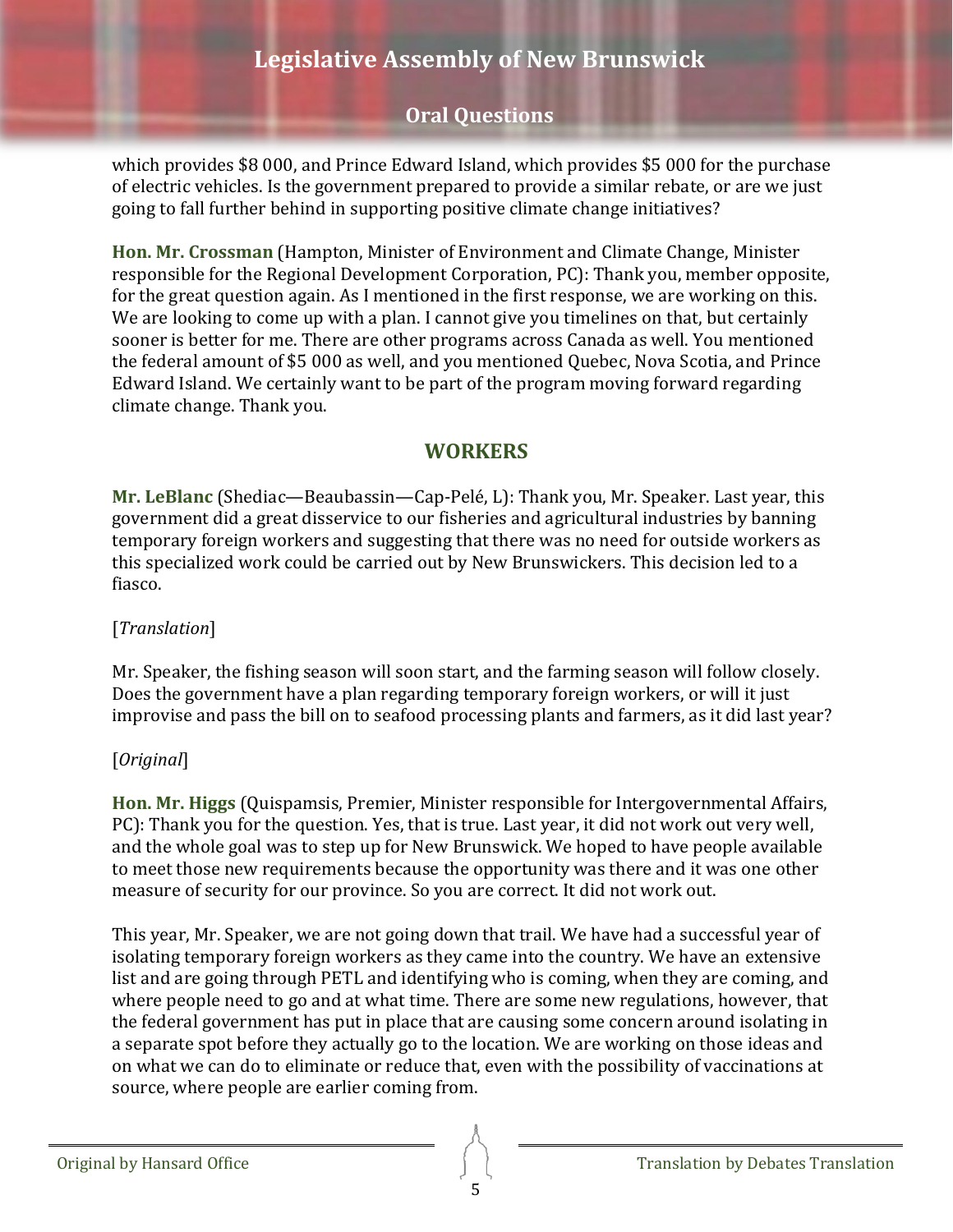# **Oral Questions**

which provides \$8 000, and Prince Edward Island, which provides \$5 000 for the purchase of electric vehicles. Is the government prepared to provide a similar rebate, or are we just going to fall further behind in supporting positive climate change initiatives?

<span id="page-4-0"></span>**Hon. Mr. Crossman** (Hampton, Minister of Environment and Climate Change, Minister responsible for the Regional Development Corporation, PC): Thank you, member opposite, for the great question again. As I mentioned in the first response, we are working on this. We are looking to come up with a plan. I cannot give you timelines on that, but certainly sooner is better for me. There are other programs across Canada as well. You mentioned the federal amount of \$5 000 as well, and you mentioned Quebec, Nova Scotia, and Prince Edward Island. We certainly want to be part of the program moving forward regarding climate change. Thank you.

### **WORKERS**

<span id="page-4-2"></span><span id="page-4-1"></span>**Mr. LeBlanc** (Shediac—Beaubassin—Cap-Pelé, L): Thank you, Mr. Speaker. Last year, this government did a great disservice to our fisheries and agricultural industries by banning temporary foreign workers and suggesting that there was no need for outside workers as this specialized work could be carried out by New Brunswickers. This decision led to a fiasco.

#### [*Translation*]

Mr. Speaker, the fishing season will soon start, and the farming season will follow closely. Does the government have a plan regarding temporary foreign workers, or will it just improvise and pass the bill on to seafood processing plants and farmers, as it did last year?

#### [*Original*]

<span id="page-4-3"></span>**Hon. Mr. Higgs** (Quispamsis, Premier, Minister responsible for Intergovernmental Affairs, PC): Thank you for the question. Yes, that is true. Last year, it did not work out very well, and the whole goal was to step up for New Brunswick. We hoped to have people available to meet those new requirements because the opportunity was there and it was one other measure of security for our province. So you are correct. It did not work out.

This year, Mr. Speaker, we are not going down that trail. We have had a successful year of isolating temporary foreign workers as they came into the country. We have an extensive list and are going through PETL and identifying who is coming, when they are coming, and where people need to go and at what time. There are some new regulations, however, that the federal government has put in place that are causing some concern around isolating in a separate spot before they actually go to the location. We are working on those ideas and on what we can do to eliminate or reduce that, even with the possibility of vaccinations at source, where people are earlier coming from.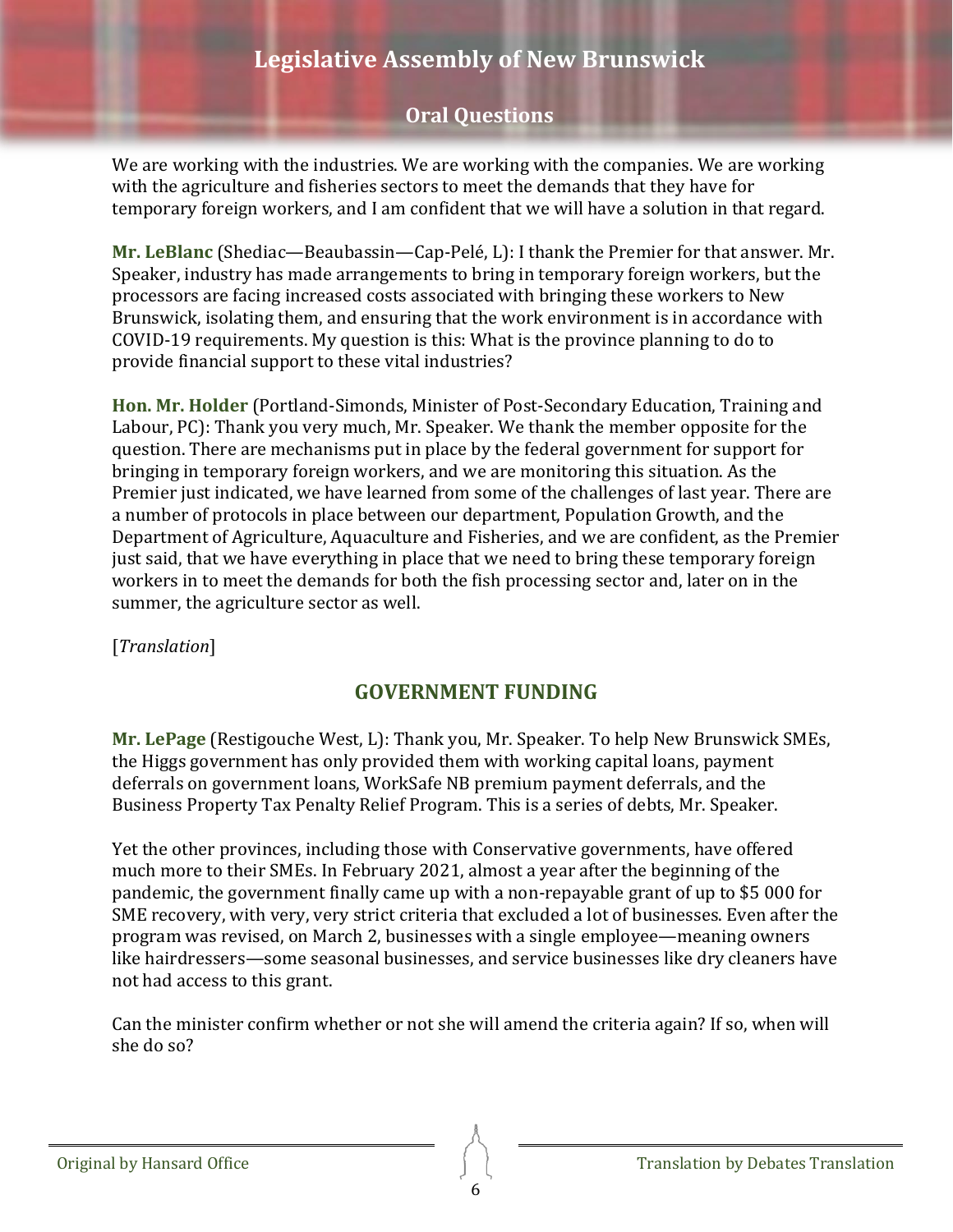## **Oral Questions**

We are working with the industries. We are working with the companies. We are working with the agriculture and fisheries sectors to meet the demands that they have for temporary foreign workers, and I am confident that we will have a solution in that regard.

<span id="page-5-0"></span>**Mr. LeBlanc** (Shediac—Beaubassin—Cap-Pelé, L): I thank the Premier for that answer. Mr. Speaker, industry has made arrangements to bring in temporary foreign workers, but the processors are facing increased costs associated with bringing these workers to New Brunswick, isolating them, and ensuring that the work environment is in accordance with COVID-19 requirements. My question is this: What is the province planning to do to provide financial support to these vital industries?

<span id="page-5-1"></span>**Hon. Mr. Holder** (Portland-Simonds, Minister of Post-Secondary Education, Training and Labour, PC): Thank you very much, Mr. Speaker. We thank the member opposite for the question. There are mechanisms put in place by the federal government for support for bringing in temporary foreign workers, and we are monitoring this situation. As the Premier just indicated, we have learned from some of the challenges of last year. There are a number of protocols in place between our department, Population Growth, and the Department of Agriculture, Aquaculture and Fisheries, and we are confident, as the Premier just said, that we have everything in place that we need to bring these temporary foreign workers in to meet the demands for both the fish processing sector and, later on in the summer, the agriculture sector as well.

<span id="page-5-2"></span>[*Translation*]

## **GOVERNMENT FUNDING**

<span id="page-5-3"></span>**Mr. LePage** (Restigouche West, L): Thank you, Mr. Speaker. To help New Brunswick SMEs, the Higgs government has only provided them with working capital loans, payment deferrals on government loans, WorkSafe NB premium payment deferrals, and the Business Property Tax Penalty Relief Program. This is a series of debts, Mr. Speaker.

Yet the other provinces, including those with Conservative governments, have offered much more to their SMEs. In February 2021, almost a year after the beginning of the pandemic, the government finally came up with a non-repayable grant of up to \$5 000 for SME recovery, with very, very strict criteria that excluded a lot of businesses. Even after the program was revised, on March 2, businesses with a single employee—meaning owners like hairdressers—some seasonal businesses, and service businesses like dry cleaners have not had access to this grant.

Can the minister confirm whether or not she will amend the criteria again? If so, when will she do so?

Original by Hansard Office **Translation Translation by Debates Translation**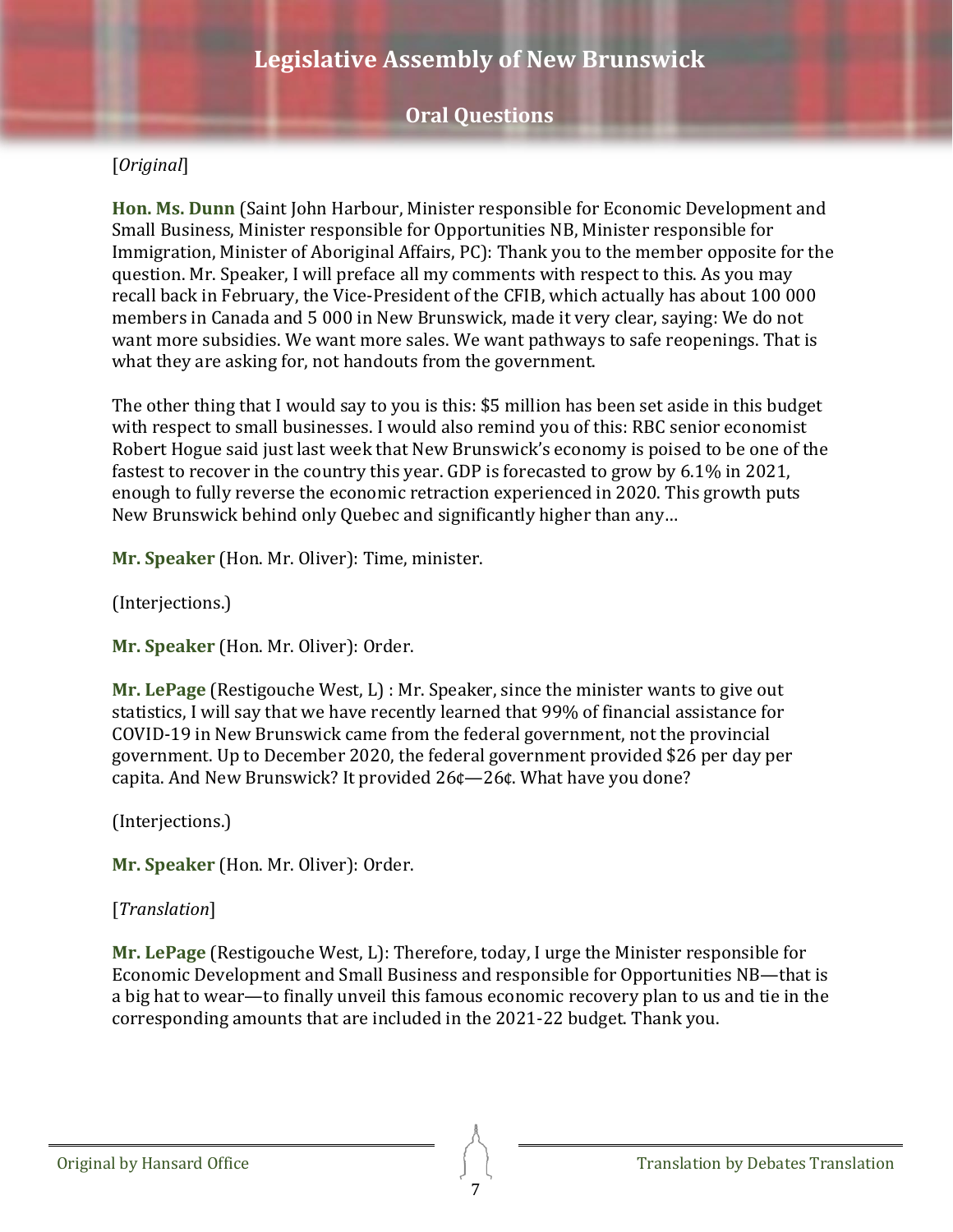### [*Original*]

<span id="page-6-0"></span>**Hon. Ms. Dunn** (Saint John Harbour, Minister responsible for Economic Development and Small Business, Minister responsible for Opportunities NB, Minister responsible for Immigration, Minister of Aboriginal Affairs, PC): Thank you to the member opposite for the question. Mr. Speaker, I will preface all my comments with respect to this. As you may recall back in February, the Vice-President of the CFIB, which actually has about 100 000 members in Canada and 5 000 in New Brunswick, made it very clear, saying: We do not want more subsidies. We want more sales. We want pathways to safe reopenings. That is what they are asking for, not handouts from the government.

The other thing that I would say to you is this: \$5 million has been set aside in this budget with respect to small businesses. I would also remind you of this: RBC senior economist Robert Hogue said just last week that New Brunswick's economy is poised to be one of the fastest to recover in the country this year. GDP is forecasted to grow by 6.1% in 2021, enough to fully reverse the economic retraction experienced in 2020. This growth puts New Brunswick behind only Quebec and significantly higher than any…

**Mr. Speaker** (Hon. Mr. Oliver): Time, minister.

(Interjections.)

**Mr. Speaker** (Hon. Mr. Oliver): Order.

<span id="page-6-1"></span>**Mr. LePage** (Restigouche West, L) : Mr. Speaker, since the minister wants to give out statistics, I will say that we have recently learned that 99% of financial assistance for COVID-19 in New Brunswick came from the federal government, not the provincial government. Up to December 2020, the federal government provided \$26 per day per capita. And New Brunswick? It provided 26¢—26¢. What have you done?

(Interjections.)

**Mr. Speaker** (Hon. Mr. Oliver): Order.

#### [*Translation*]

<span id="page-6-2"></span>**Mr. LePage** (Restigouche West, L): Therefore, today, I urge the Minister responsible for Economic Development and Small Business and responsible for Opportunities NB—that is a big hat to wear—to finally unveil this famous economic recovery plan to us and tie in the corresponding amounts that are included in the 2021-22 budget. Thank you.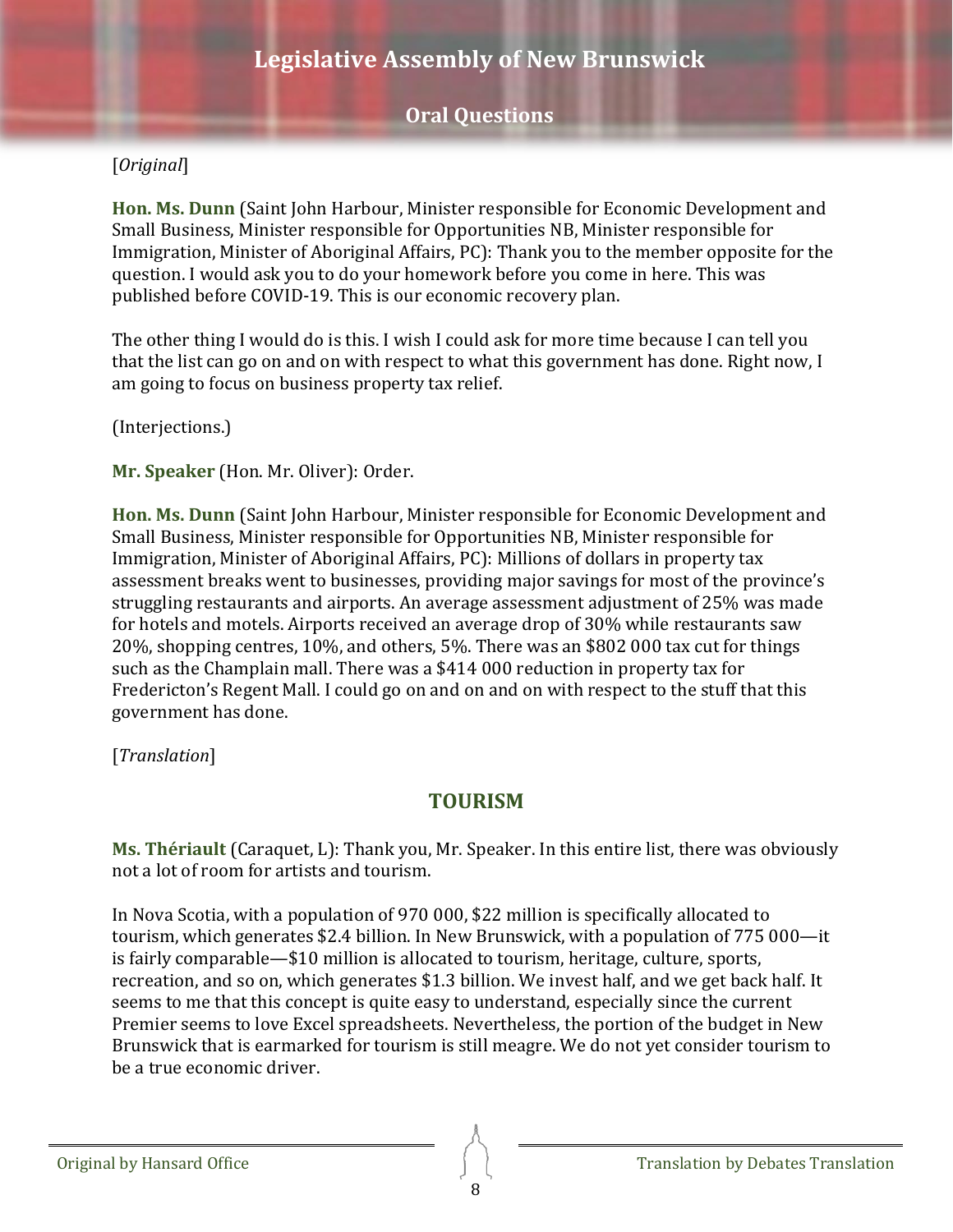### [*Original*]

<span id="page-7-0"></span>**Hon. Ms. Dunn** (Saint John Harbour, Minister responsible for Economic Development and Small Business, Minister responsible for Opportunities NB, Minister responsible for Immigration, Minister of Aboriginal Affairs, PC): Thank you to the member opposite for the question. I would ask you to do your homework before you come in here. This was published before COVID-19. This is our economic recovery plan.

The other thing I would do is this. I wish I could ask for more time because I can tell you that the list can go on and on with respect to what this government has done. Right now, I am going to focus on business property tax relief.

(Interjections.)

**Mr. Speaker** (Hon. Mr. Oliver): Order.

<span id="page-7-1"></span>**Hon. Ms. Dunn** (Saint John Harbour, Minister responsible for Economic Development and Small Business, Minister responsible for Opportunities NB, Minister responsible for Immigration, Minister of Aboriginal Affairs, PC): Millions of dollars in property tax assessment breaks went to businesses, providing major savings for most of the province's struggling restaurants and airports. An average assessment adjustment of 25% was made for hotels and motels. Airports received an average drop of 30% while restaurants saw 20%, shopping centres, 10%, and others, 5%. There was an \$802 000 tax cut for things such as the Champlain mall. There was a \$414 000 reduction in property tax for Fredericton's Regent Mall. I could go on and on and on with respect to the stuff that this government has done.

<span id="page-7-2"></span>[*Translation*]

## **TOURISM**

<span id="page-7-3"></span>**Ms. Thériault** (Caraquet, L): Thank you, Mr. Speaker. In this entire list, there was obviously not a lot of room for artists and tourism.

In Nova Scotia, with a population of 970 000, \$22 million is specifically allocated to tourism, which generates \$2.4 billion. In New Brunswick, with a population of 775 000—it is fairly comparable—\$10 million is allocated to tourism, heritage, culture, sports, recreation, and so on, which generates \$1.3 billion. We invest half, and we get back half. It seems to me that this concept is quite easy to understand, especially since the current Premier seems to love Excel spreadsheets. Nevertheless, the portion of the budget in New Brunswick that is earmarked for tourism is still meagre. We do not yet consider tourism to be a true economic driver.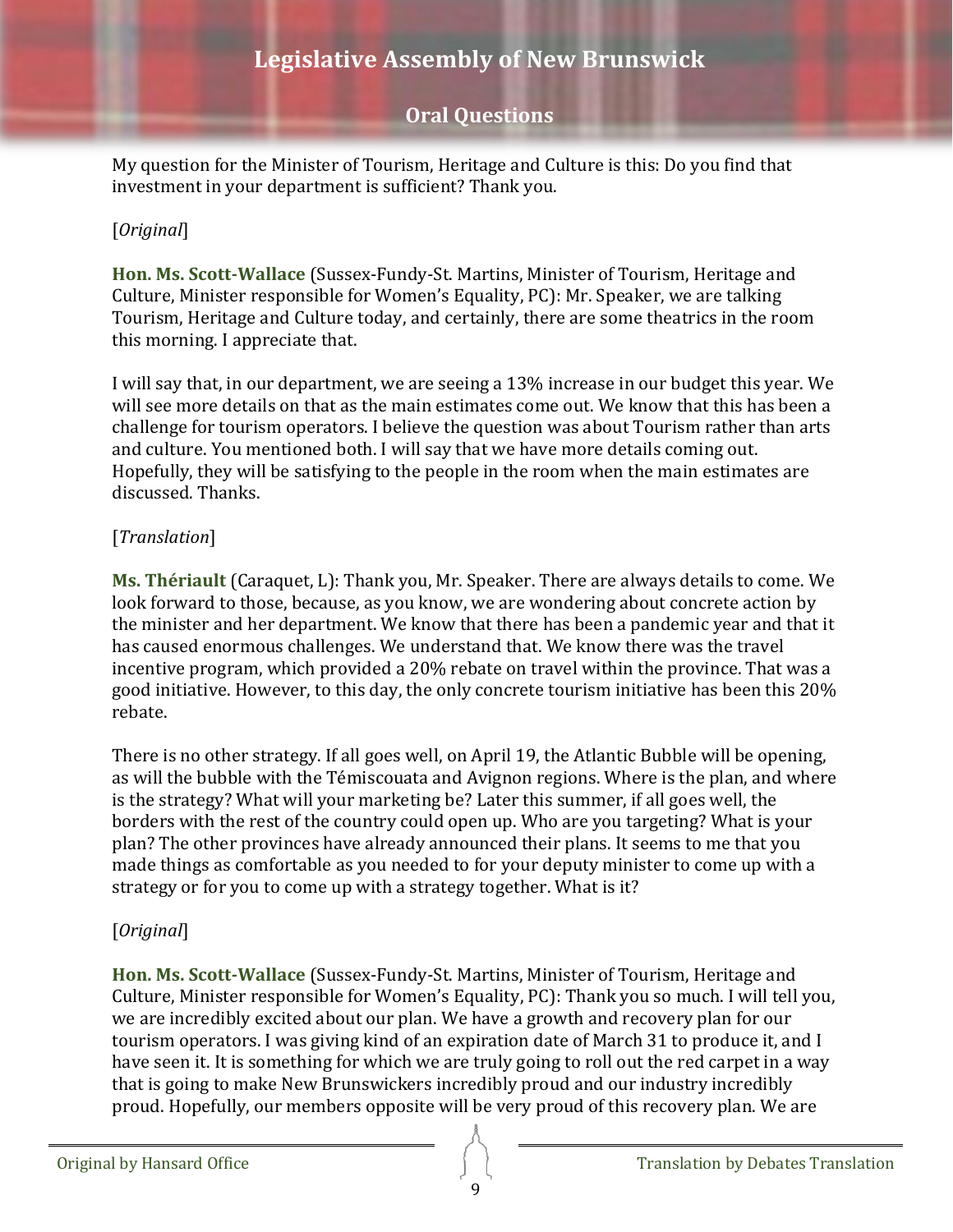### **Oral Questions**

My question for the Minister of Tourism, Heritage and Culture is this: Do you find that investment in your department is sufficient? Thank you.

#### [*Original*]

<span id="page-8-0"></span>**Hon. Ms. Scott-Wallace** (Sussex-Fundy-St. Martins, Minister of Tourism, Heritage and Culture, Minister responsible for Women's Equality, PC): Mr. Speaker, we are talking Tourism, Heritage and Culture today, and certainly, there are some theatrics in the room this morning. I appreciate that.

I will say that, in our department, we are seeing a 13% increase in our budget this year. We will see more details on that as the main estimates come out. We know that this has been a challenge for tourism operators. I believe the question was about Tourism rather than arts and culture. You mentioned both. I will say that we have more details coming out. Hopefully, they will be satisfying to the people in the room when the main estimates are discussed. Thanks.

#### [*Translation*]

<span id="page-8-1"></span>**Ms. Thériault** (Caraquet, L): Thank you, Mr. Speaker. There are always details to come. We look forward to those, because, as you know, we are wondering about concrete action by the minister and her department. We know that there has been a pandemic year and that it has caused enormous challenges. We understand that. We know there was the travel incentive program, which provided a 20% rebate on travel within the province. That was a good initiative. However, to this day, the only concrete tourism initiative has been this 20% rebate.

There is no other strategy. If all goes well, on April 19, the Atlantic Bubble will be opening, as will the bubble with the Témiscouata and Avignon regions. Where is the plan, and where is the strategy? What will your marketing be? Later this summer, if all goes well, the borders with the rest of the country could open up. Who are you targeting? What is your plan? The other provinces have already announced their plans. It seems to me that you made things as comfortable as you needed to for your deputy minister to come up with a strategy or for you to come up with a strategy together. What is it?

#### [*Original*]

<span id="page-8-2"></span>**Hon. Ms. Scott-Wallace** (Sussex-Fundy-St. Martins, Minister of Tourism, Heritage and Culture, Minister responsible for Women's Equality, PC): Thank you so much. I will tell you, we are incredibly excited about our plan. We have a growth and recovery plan for our tourism operators. I was giving kind of an expiration date of March 31 to produce it, and I have seen it. It is something for which we are truly going to roll out the red carpet in a way that is going to make New Brunswickers incredibly proud and our industry incredibly proud. Hopefully, our members opposite will be very proud of this recovery plan. We are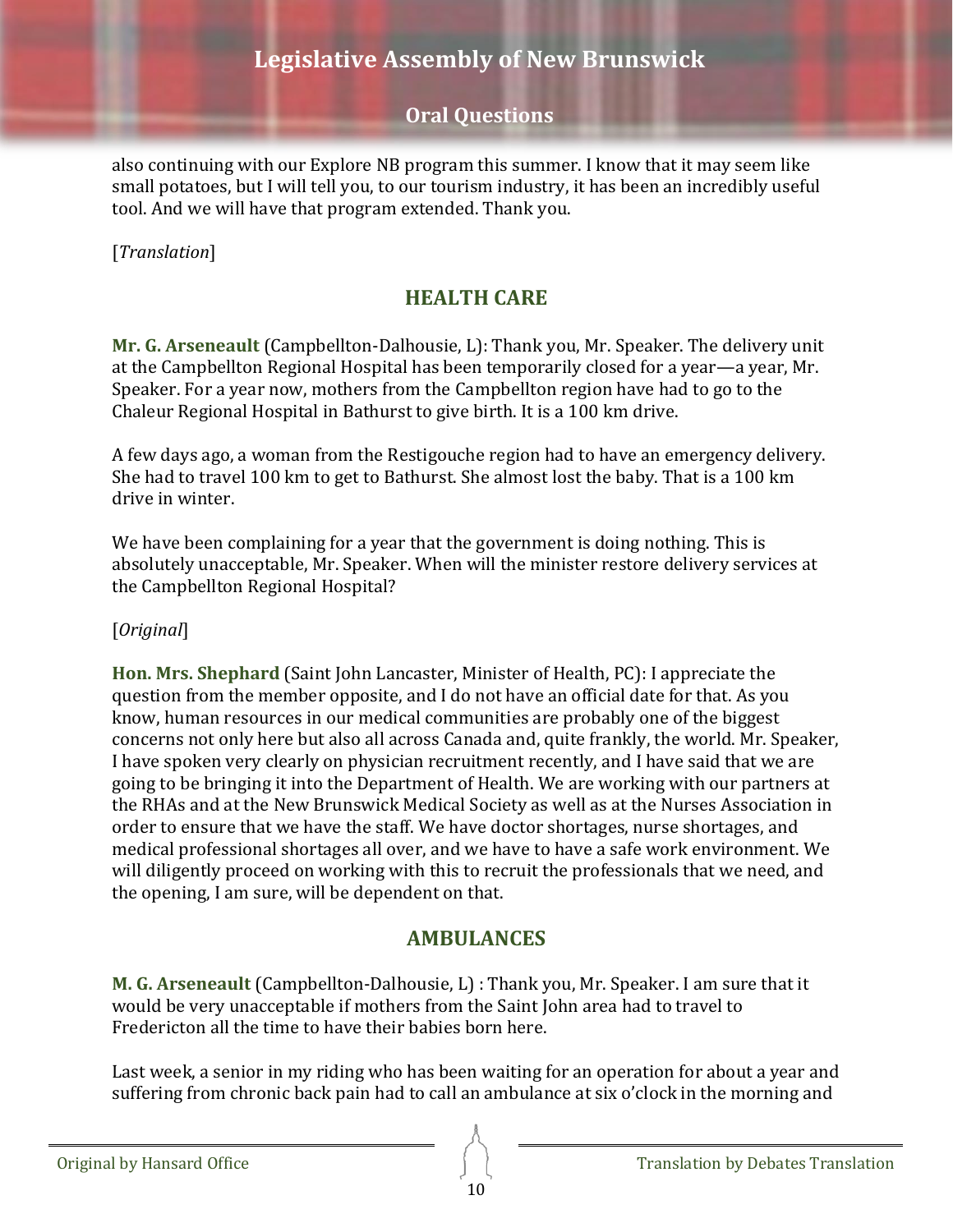### **Oral Questions**

also continuing with our Explore NB program this summer. I know that it may seem like small potatoes, but I will tell you, to our tourism industry, it has been an incredibly useful tool. And we will have that program extended. Thank you.

<span id="page-9-0"></span>[*Translation*]

## **HEALTH CARE**

<span id="page-9-1"></span>**Mr. G. Arseneault** (Campbellton-Dalhousie, L): Thank you, Mr. Speaker. The delivery unit at the Campbellton Regional Hospital has been temporarily closed for a year—a year, Mr. Speaker. For a year now, mothers from the Campbellton region have had to go to the Chaleur Regional Hospital in Bathurst to give birth. It is a 100 km drive.

A few days ago, a woman from the Restigouche region had to have an emergency delivery. She had to travel 100 km to get to Bathurst. She almost lost the baby. That is a 100 km drive in winter.

We have been complaining for a year that the government is doing nothing. This is absolutely unacceptable, Mr. Speaker. When will the minister restore delivery services at the Campbellton Regional Hospital?

#### [*Original*]

<span id="page-9-2"></span>**Hon. Mrs. Shephard** (Saint John Lancaster, Minister of Health, PC): I appreciate the question from the member opposite, and I do not have an official date for that. As you know, human resources in our medical communities are probably one of the biggest concerns not only here but also all across Canada and, quite frankly, the world. Mr. Speaker, I have spoken very clearly on physician recruitment recently, and I have said that we are going to be bringing it into the Department of Health. We are working with our partners at the RHAs and at the New Brunswick Medical Society as well as at the Nurses Association in order to ensure that we have the staff. We have doctor shortages, nurse shortages, and medical professional shortages all over, and we have to have a safe work environment. We will diligently proceed on working with this to recruit the professionals that we need, and the opening, I am sure, will be dependent on that.

### **AMBULANCES**

<span id="page-9-4"></span><span id="page-9-3"></span>**M. G. Arseneault** (Campbellton-Dalhousie, L) : Thank you, Mr. Speaker. I am sure that it would be very unacceptable if mothers from the Saint John area had to travel to Fredericton all the time to have their babies born here.

Last week, a senior in my riding who has been waiting for an operation for about a year and suffering from chronic back pain had to call an ambulance at six o'clock in the morning and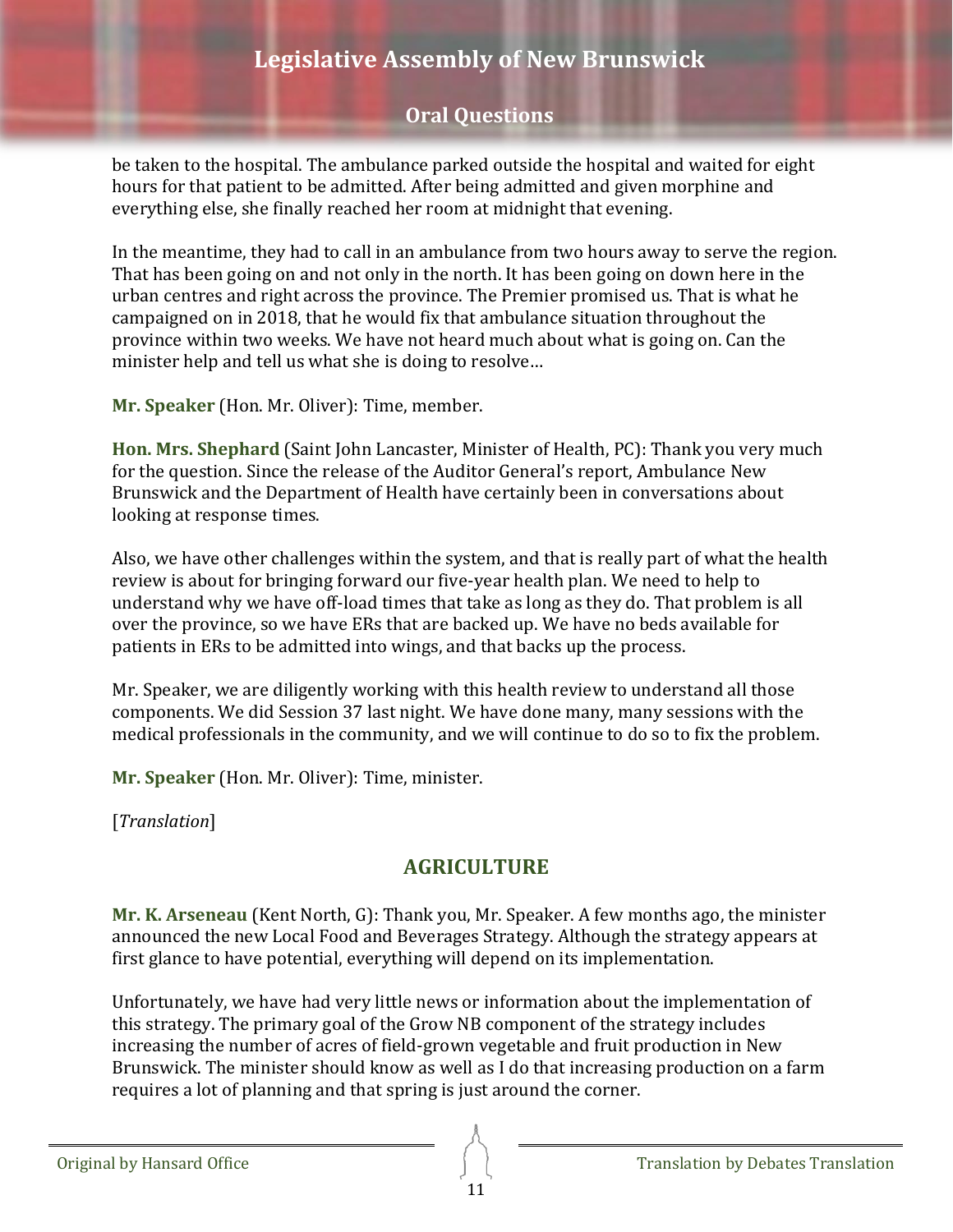## **Oral Questions**

be taken to the hospital. The ambulance parked outside the hospital and waited for eight hours for that patient to be admitted. After being admitted and given morphine and everything else, she finally reached her room at midnight that evening.

In the meantime, they had to call in an ambulance from two hours away to serve the region. That has been going on and not only in the north. It has been going on down here in the urban centres and right across the province. The Premier promised us. That is what he campaigned on in 2018, that he would fix that ambulance situation throughout the province within two weeks. We have not heard much about what is going on. Can the minister help and tell us what she is doing to resolve…

**Mr. Speaker** (Hon. Mr. Oliver): Time, member.

<span id="page-10-0"></span>**Hon. Mrs. Shephard** (Saint John Lancaster, Minister of Health, PC): Thank you very much for the question. Since the release of the Auditor General's report, Ambulance New Brunswick and the Department of Health have certainly been in conversations about looking at response times.

Also, we have other challenges within the system, and that is really part of what the health review is about for bringing forward our five-year health plan. We need to help to understand why we have off-load times that take as long as they do. That problem is all over the province, so we have ERs that are backed up. We have no beds available for patients in ERs to be admitted into wings, and that backs up the process.

Mr. Speaker, we are diligently working with this health review to understand all those components. We did Session 37 last night. We have done many, many sessions with the medical professionals in the community, and we will continue to do so to fix the problem.

**Mr. Speaker** (Hon. Mr. Oliver): Time, minister.

<span id="page-10-1"></span>[*Translation*]

## **AGRICULTURE**

<span id="page-10-2"></span>**Mr. K. Arseneau** (Kent North, G): Thank you, Mr. Speaker. A few months ago, the minister announced the new Local Food and Beverages Strategy. Although the strategy appears at first glance to have potential, everything will depend on its implementation.

Unfortunately, we have had very little news or information about the implementation of this strategy. The primary goal of the Grow NB component of the strategy includes increasing the number of acres of field-grown vegetable and fruit production in New Brunswick. The minister should know as well as I do that increasing production on a farm requires a lot of planning and that spring is just around the corner.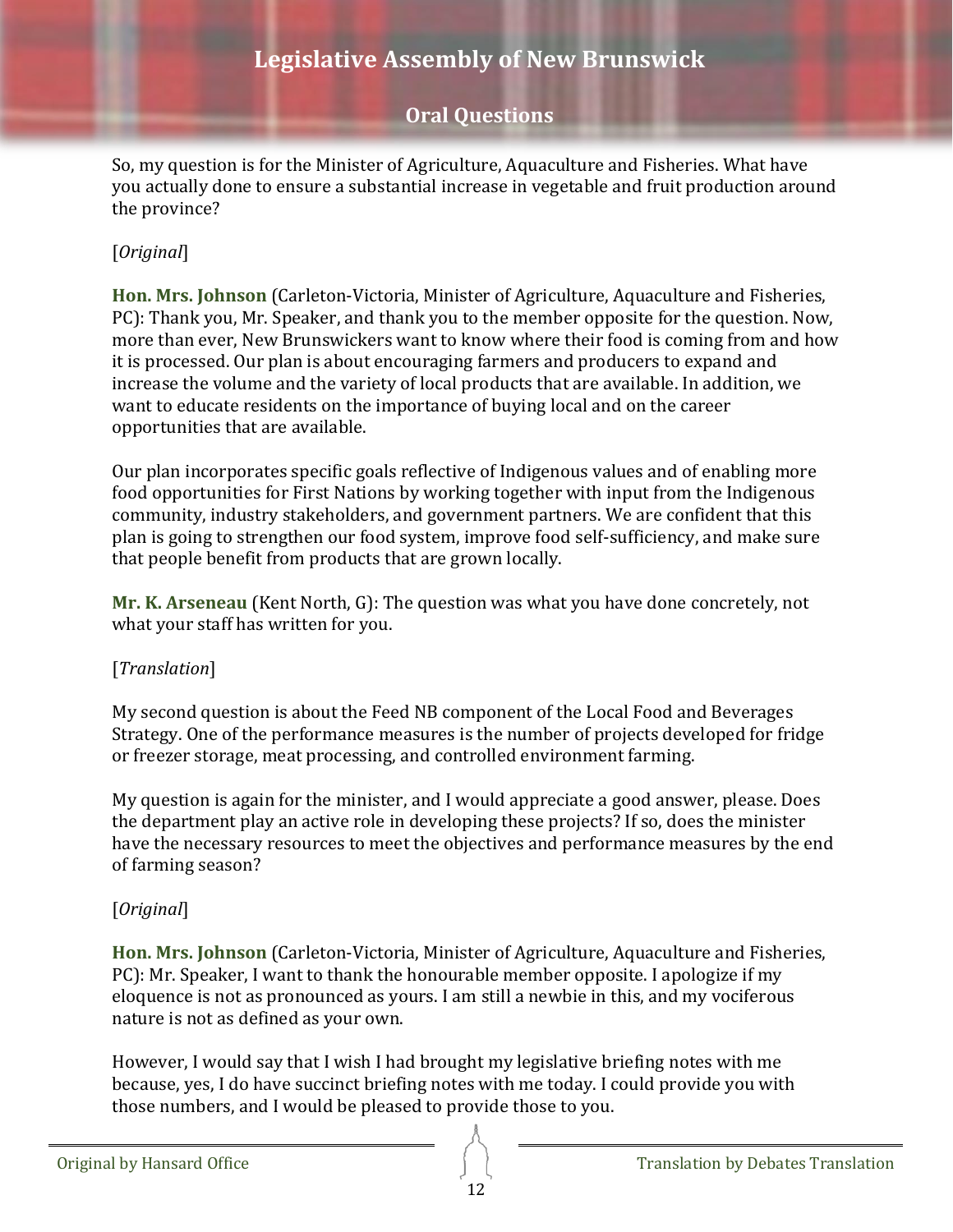### **Oral Questions**

So, my question is for the Minister of Agriculture, Aquaculture and Fisheries. What have you actually done to ensure a substantial increase in vegetable and fruit production around the province?

#### [*Original*]

<span id="page-11-0"></span>**Hon. Mrs. Johnson** (Carleton-Victoria, Minister of Agriculture, Aquaculture and Fisheries, PC): Thank you, Mr. Speaker, and thank you to the member opposite for the question. Now, more than ever, New Brunswickers want to know where their food is coming from and how it is processed. Our plan is about encouraging farmers and producers to expand and increase the volume and the variety of local products that are available. In addition, we want to educate residents on the importance of buying local and on the career opportunities that are available.

Our plan incorporates specific goals reflective of Indigenous values and of enabling more food opportunities for First Nations by working together with input from the Indigenous community, industry stakeholders, and government partners. We are confident that this plan is going to strengthen our food system, improve food self-sufficiency, and make sure that people benefit from products that are grown locally.

<span id="page-11-1"></span>**Mr. K. Arseneau** (Kent North, G): The question was what you have done concretely, not what your staff has written for you.

#### [*Translation*]

My second question is about the Feed NB component of the Local Food and Beverages Strategy. One of the performance measures is the number of projects developed for fridge or freezer storage, meat processing, and controlled environment farming.

My question is again for the minister, and I would appreciate a good answer, please. Does the department play an active role in developing these projects? If so, does the minister have the necessary resources to meet the objectives and performance measures by the end of farming season?

#### [*Original*]

<span id="page-11-2"></span>**Hon. Mrs. Johnson** (Carleton-Victoria, Minister of Agriculture, Aquaculture and Fisheries, PC): Mr. Speaker, I want to thank the honourable member opposite. I apologize if my eloquence is not as pronounced as yours. I am still a newbie in this, and my vociferous nature is not as defined as your own.

However, I would say that I wish I had brought my legislative briefing notes with me because, yes, I do have succinct briefing notes with me today. I could provide you with those numbers, and I would be pleased to provide those to you.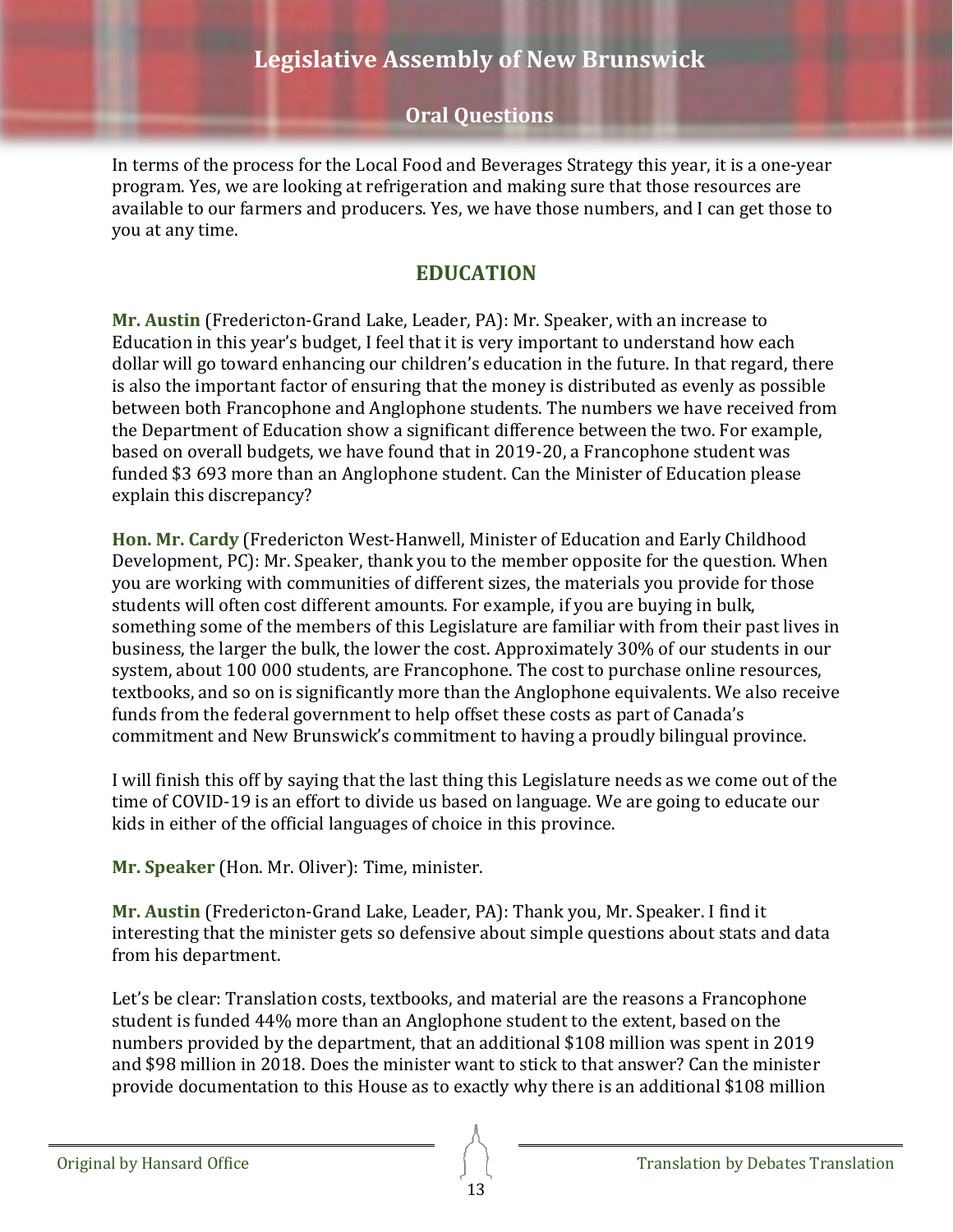In terms of the process for the Local Food and Beverages Strategy this year, it is a one-year program. Yes, we are looking at refrigeration and making sure that those resources are available to our farmers and producers. Yes, we have those numbers, and I can get those to you at any time.

# **EDUCATION**

<span id="page-12-1"></span><span id="page-12-0"></span>**Mr. Austin** (Fredericton-Grand Lake, Leader, PA): Mr. Speaker, with an increase to Education in this year's budget, I feel that it is very important to understand how each dollar will go toward enhancing our children's education in the future. In that regard, there is also the important factor of ensuring that the money is distributed as evenly as possible between both Francophone and Anglophone students. The numbers we have received from the Department of Education show a significant difference between the two. For example, based on overall budgets, we have found that in 2019-20, a Francophone student was funded \$3 693 more than an Anglophone student. Can the Minister of Education please explain this discrepancy?

<span id="page-12-2"></span>**Hon. Mr. Cardy** (Fredericton West-Hanwell, Minister of Education and Early Childhood Development, PC): Mr. Speaker, thank you to the member opposite for the question. When you are working with communities of different sizes, the materials you provide for those students will often cost different amounts. For example, if you are buying in bulk, something some of the members of this Legislature are familiar with from their past lives in business, the larger the bulk, the lower the cost. Approximately 30% of our students in our system, about 100 000 students, are Francophone. The cost to purchase online resources, textbooks, and so on is significantly more than the Anglophone equivalents. We also receive funds from the federal government to help offset these costs as part of Canada's commitment and New Brunswick's commitment to having a proudly bilingual province.

I will finish this off by saying that the last thing this Legislature needs as we come out of the time of COVID-19 is an effort to divide us based on language. We are going to educate our kids in either of the official languages of choice in this province.

**Mr. Speaker** (Hon. Mr. Oliver): Time, minister.

<span id="page-12-3"></span>**Mr. Austin** (Fredericton-Grand Lake, Leader, PA): Thank you, Mr. Speaker. I find it interesting that the minister gets so defensive about simple questions about stats and data from his department.

Let's be clear: Translation costs, textbooks, and material are the reasons a Francophone student is funded 44% more than an Anglophone student to the extent, based on the numbers provided by the department, that an additional \$108 million was spent in 2019 and \$98 million in 2018. Does the minister want to stick to that answer? Can the minister provide documentation to this House as to exactly why there is an additional \$108 million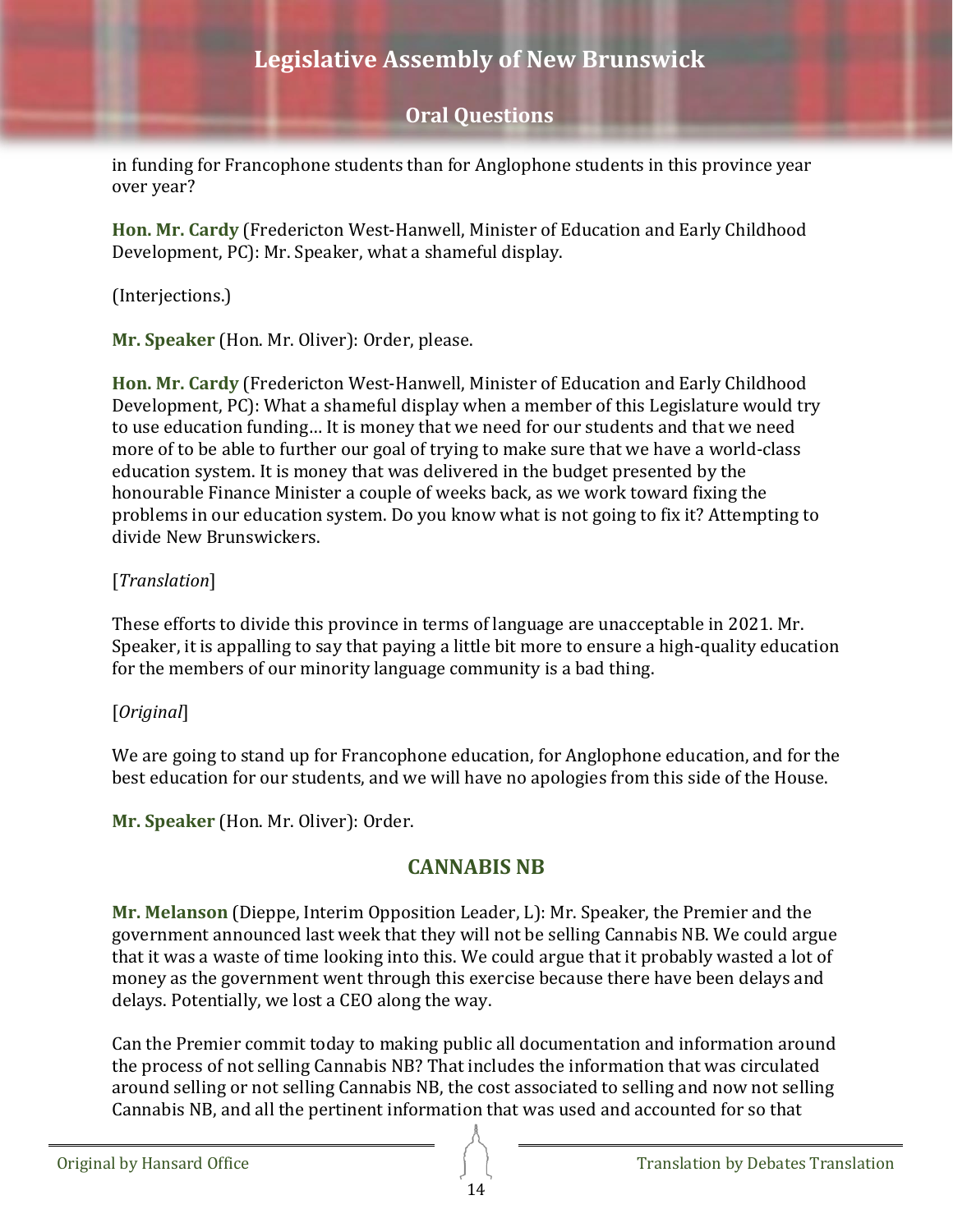in funding for Francophone students than for Anglophone students in this province year over year?

<span id="page-13-0"></span>**Hon. Mr. Cardy** (Fredericton West-Hanwell, Minister of Education and Early Childhood Development, PC): Mr. Speaker, what a shameful display.

(Interjections.)

**Mr. Speaker** (Hon. Mr. Oliver): Order, please.

<span id="page-13-1"></span>**Hon. Mr. Cardy** (Fredericton West-Hanwell, Minister of Education and Early Childhood Development, PC): What a shameful display when a member of this Legislature would try to use education funding… It is money that we need for our students and that we need more of to be able to further our goal of trying to make sure that we have a world-class education system. It is money that was delivered in the budget presented by the honourable Finance Minister a couple of weeks back, as we work toward fixing the problems in our education system. Do you know what is not going to fix it? Attempting to divide New Brunswickers.

### [*Translation*]

These efforts to divide this province in terms of language are unacceptable in 2021. Mr. Speaker, it is appalling to say that paying a little bit more to ensure a high-quality education for the members of our minority language community is a bad thing.

### [*Original*]

We are going to stand up for Francophone education, for Anglophone education, and for the best education for our students, and we will have no apologies from this side of the House.

<span id="page-13-2"></span>**Mr. Speaker** (Hon. Mr. Oliver): Order.

# **CANNABIS NB**

<span id="page-13-3"></span>**Mr. Melanson** (Dieppe, Interim Opposition Leader, L): Mr. Speaker, the Premier and the government announced last week that they will not be selling Cannabis NB. We could argue that it was a waste of time looking into this. We could argue that it probably wasted a lot of money as the government went through this exercise because there have been delays and delays. Potentially, we lost a CEO along the way.

Can the Premier commit today to making public all documentation and information around the process of not selling Cannabis NB? That includes the information that was circulated around selling or not selling Cannabis NB, the cost associated to selling and now not selling Cannabis NB, and all the pertinent information that was used and accounted for so that